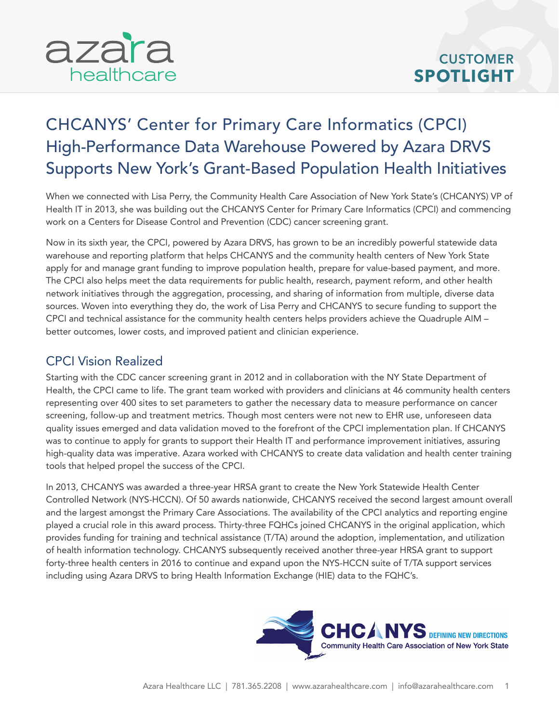

## CHCANYS' Center for Primary Care Informatics (CPCI) High-Performance Data Warehouse Powered by Azara DRVS Supports New York's Grant-Based Population Health Initiatives

When we connected with Lisa Perry, the Community Health Care Association of New York State's (CHCANYS) VP of Health IT in 2013, she was building out the CHCANYS Center for Primary Care Informatics (CPCI) and commencing work on a Centers for Disease Control and Prevention (CDC) cancer screening grant.

Now in its sixth year, the CPCI, powered by Azara DRVS, has grown to be an incredibly powerful statewide data warehouse and reporting platform that helps CHCANYS and the community health centers of New York State apply for and manage grant funding to improve population health, prepare for value-based payment, and more. The CPCI also helps meet the data requirements for public health, research, payment reform, and other health network initiatives through the aggregation, processing, and sharing of information from multiple, diverse data sources. Woven into everything they do, the work of Lisa Perry and CHCANYS to secure funding to support the CPCI and technical assistance for the community health centers helps providers achieve the Quadruple AIM – better outcomes, lower costs, and improved patient and clinician experience.

## CPCI Vision Realized

Starting with the CDC cancer screening grant in 2012 and in collaboration with the NY State Department of Health, the CPCI came to life. The grant team worked with providers and clinicians at 46 community health centers representing over 400 sites to set parameters to gather the necessary data to measure performance on cancer screening, follow-up and treatment metrics. Though most centers were not new to EHR use, unforeseen data quality issues emerged and data validation moved to the forefront of the CPCI implementation plan. If CHCANYS was to continue to apply for grants to support their Health IT and performance improvement initiatives, assuring high-quality data was imperative. Azara worked with CHCANYS to create data validation and health center training tools that helped propel the success of the CPCI.

In 2013, CHCANYS was awarded a three-year HRSA grant to create the New York Statewide Health Center Controlled Network (NYS-HCCN). Of 50 awards nationwide, CHCANYS received the second largest amount overall and the largest amongst the Primary Care Associations. The availability of the CPCI analytics and reporting engine played a crucial role in this award process. Thirty-three FQHCs joined CHCANYS in the original application, which provides funding for training and technical assistance (T/TA) around the adoption, implementation, and utilization of health information technology. CHCANYS subsequently received another three-year HRSA grant to support forty-three health centers in 2016 to continue and expand upon the NYS-HCCN suite of T/TA support services including using Azara DRVS to bring Health Information Exchange (HIE) data to the FQHC's.